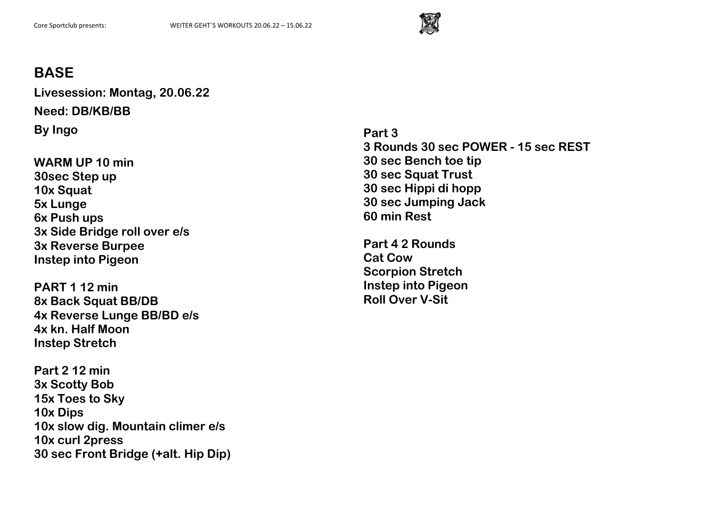

**Livesession: Montag, 20.06.22 Need: DB/KB/BB By Ingo**

**WARM UP 10 min 30sec Step up 10x Squat 5x Lunge 6x Push ups 3x Side Bridge roll over e/s 3x Reverse Burpee Instep into Pigeon**

**PART 1 12 min 8x Back Squat BB/DB 4x Reverse Lunge BB/BD e/s 4x kn. Half Moon Instep Stretch**

**Part 2 12 min 3x Scotty Bob 15x Toes to Sky 10x Dips 10x slow dig. Mountain climer e/s 10x curl 2press 30 sec Front Bridge (+alt. Hip Dip)** **Part 3 3 Rounds 30 sec POWER - 15 sec REST 30 sec Bench toe tip 30 sec Squat Trust 30 sec Hippi di hopp 30 sec Jumping Jack 60 min Rest**

**Part 4 2 Rounds Cat Cow Scorpion Stretch Instep into Pigeon Roll Over V-Sit**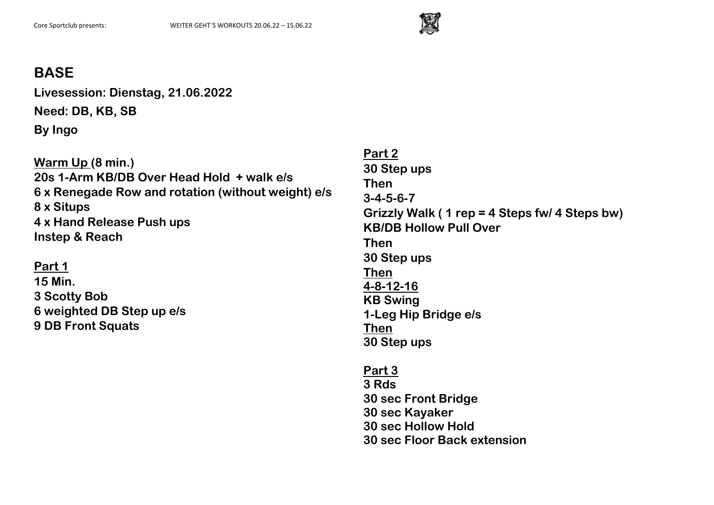

**Livesession: Dienstag, 21.06.2022 Need: DB, KB, SB By Ingo**

**Warm Up (8 min.) 20s 1-Arm KB/DB Over Head Hold + walk e/s 6 x Renegade Row and rotation (without weight) e/s 8 x Situps 4 x Hand Release Push ups Instep & Reach**

**Part 1 15 Min. 3 Scotty Bob 6 weighted DB Step up e/s 9 DB Front Squats**

**Part 2 30 Step ups Then 3-4-5-6-7 Grizzly Walk ( 1 rep = 4 Steps fw/ 4 Steps bw) KB/DB Hollow Pull Over Then 30 Step ups Then 4-8-12-16 KB Swing 1-Leg Hip Bridge e/s Then 30 Step ups** 

**Part 3 3 Rds 30 sec Front Bridge 30 sec Kayaker 30 sec Hollow Hold 30 sec Floor Back extension**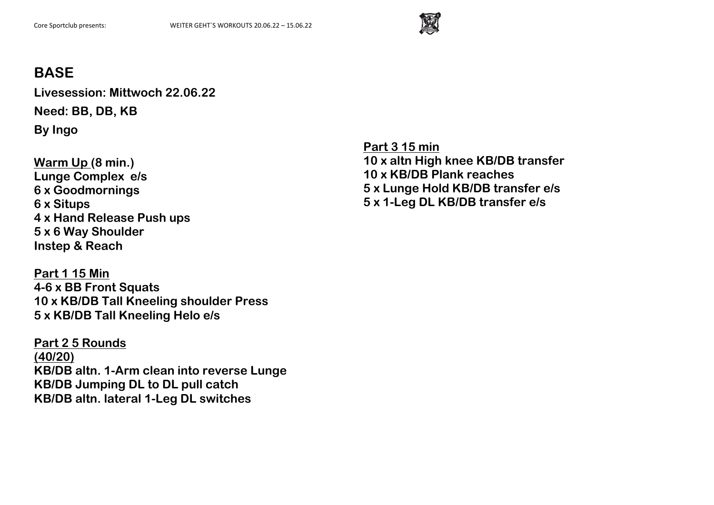

**Livesession: Mittwoch 22.06.22 Need: BB, DB, KB By Ingo**

**Warm Up (8 min.) Lunge Complex e/s 6 x Goodmornings 6 x Situps 4 x Hand Release Push ups 5 x 6 Way Shoulder Instep & Reach**

**Part 1 15 Min 4-6 x BB Front Squats 10 x KB/DB Tall Kneeling shoulder Press 5 x KB/DB Tall Kneeling Helo e/s**

**Part 2 5 Rounds (40/20) KB/DB altn. 1-Arm clean into reverse Lunge KB/DB Jumping DL to DL pull catch KB/DB altn. lateral 1-Leg DL switches**

**Part 3 15 min 10 x altn High knee KB/DB transfer 10 x KB/DB Plank reaches 5 x Lunge Hold KB/DB transfer e/s 5 x 1-Leg DL KB/DB transfer e/s**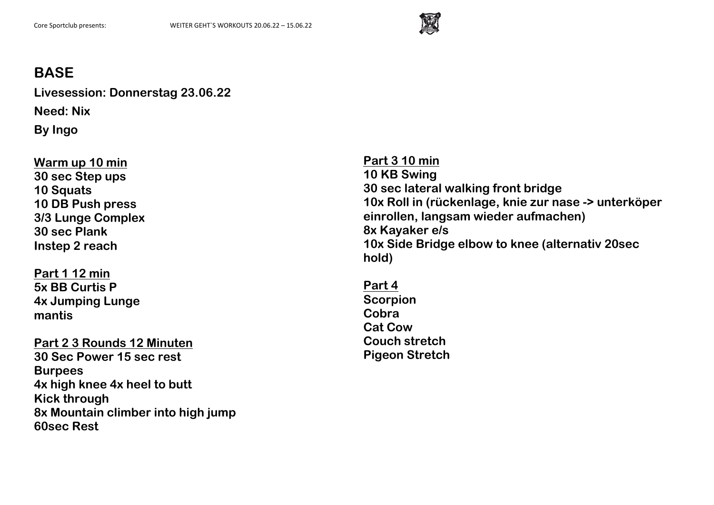

**Livesession: Donnerstag 23.06.22 Need: Nix By Ingo**

**Warm up 10 min 30 sec Step ups 10 Squats 10 DB Push press 3/3 Lunge Complex 30 sec Plank Instep 2 reach**

**Part 1 12 min 5x BB Curtis P 4x Jumping Lunge mantis**

**Part 2 3 Rounds 12 Minuten 30 Sec Power 15 sec rest Burpees 4x high knee 4x heel to butt Kick through 8x Mountain climber into high jump 60sec Rest**

**Part 3 10 min 10 KB Swing 30 sec lateral walking front bridge 10x Roll in (rückenlage, knie zur nase -> unterköper einrollen, langsam wieder aufmachen) 8x Kayaker e/s 10x Side Bridge elbow to knee (alternativ 20sec hold)**

**Part 4 Scorpion Cobra Cat Cow Couch stretch Pigeon Stretch**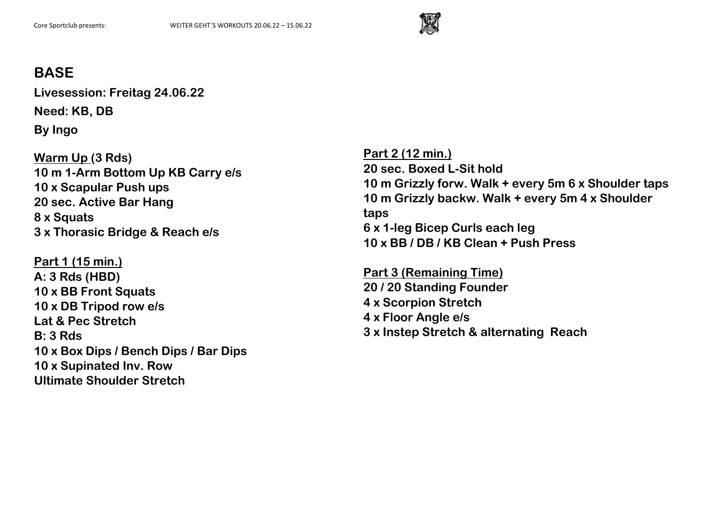

**Livesession: Freitag 24.06.22 Need: KB, DB By Ingo**

**Warm Up (3 Rds) 10 m 1-Arm Bottom Up KB Carry e/s 10 x Scapular Push ups 20 sec. Active Bar Hang 8 x Squats 3 x Thorasic Bridge & Reach e/s**

**Part 1 (15 min.) A: 3 Rds (HBD) 10 x BB Front Squats 10 x DB Tripod row e/s Lat & Pec Stretch B: 3 Rds 10 x Box Dips / Bench Dips / Bar Dips 10 x Supinated Inv. Row Ultimate Shoulder Stretch**

**Part 2 (12 min.) 20 sec. Boxed L-Sit hold 10 m Grizzly forw. Walk + every 5m 6 x Shoulder taps 10 m Grizzly backw. Walk + every 5m 4 x Shoulder taps 6 x 1-leg Bicep Curls each leg 10 x BB / DB / KB Clean + Push Press**

**Part 3 (Remaining Time) 20 / 20 Standing Founder 4 x Scorpion Stretch 4 x Floor Angle e/s 3 x Instep Stretch & alternating Reach**